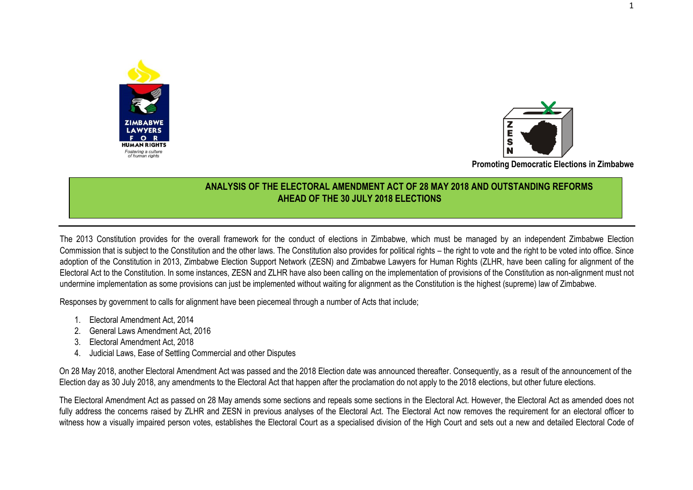



**Promoting Democratic Elections in Zimbabwe**

## **ANALYSIS OF THE ELECTORAL AMENDMENT ACT OF 28 MAY 2018 AND OUTSTANDING REFORMS AHEAD OF THE 30 JULY 2018 ELECTIONS**

The 2013 Constitution provides for the overall framework for the conduct of elections in Zimbabwe, which must be managed by an independent Zimbabwe Election Commission that is subject to the Constitution and the other laws. The Constitution also provides for political rights – the right to vote and the right to be voted into office. Since adoption of the Constitution in 2013, Zimbabwe Election Support Network (ZESN) and Zimbabwe Lawyers for Human Rights (ZLHR, have been calling for alignment of the Electoral Act to the Constitution. In some instances, ZESN and ZLHR have also been calling on the implementation of provisions of the Constitution as non-alignment must not undermine implementation as some provisions can just be implemented without waiting for alignment as the Constitution is the highest (supreme) law of Zimbabwe.

Responses by government to calls for alignment have been piecemeal through a number of Acts that include;

- 1. Electoral Amendment Act, 2014
- 2. General Laws Amendment Act, 2016
- 3. Electoral Amendment Act, 2018
- 4. Judicial Laws, Ease of Settling Commercial and other Disputes

On 28 May 2018, another Electoral Amendment Act was passed and the 2018 Election date was announced thereafter. Consequently, as a result of the announcement of the Election day as 30 July 2018, any amendments to the Electoral Act that happen after the proclamation do not apply to the 2018 elections, but other future elections.

The Electoral Amendment Act as passed on 28 May amends some sections and repeals some sections in the Electoral Act. However, the Electoral Act as amended does not fully address the concerns raised by ZLHR and ZESN in previous analyses of the Electoral Act. The Electoral Act now removes the requirement for an electoral officer to witness how a visually impaired person votes, establishes the Electoral Court as a specialised division of the High Court and sets out a new and detailed Electoral Code of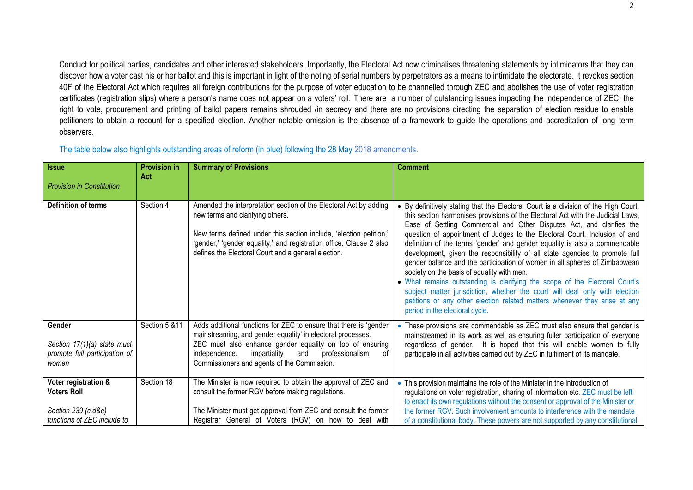Conduct for political parties, candidates and other interested stakeholders. Importantly, the Electoral Act now criminalises threatening statements by intimidators that they can discover how a voter cast his or her ballot and this is important in light of the noting of serial numbers by perpetrators as a means to intimidate the electorate. It revokes section 40F of the Electoral Act which requires all foreign contributions for the purpose of voter education to be channelled through ZEC and abolishes the use of voter registration certificates (registration slips) where a person's name does not appear on a voters' roll. There are a number of outstanding issues impacting the independence of ZEC, the right to vote, procurement and printing of ballot papers remains shrouded /in secrecy and there are no provisions directing the separation of election residue to enable petitioners to obtain a recount for a specified election. Another notable omission is the absence of a framework to guide the operations and accreditation of long term observers.

| The table below also highlights outstanding areas of reform (in blue) following the 28 May 2018 amendments. |  |  |
|-------------------------------------------------------------------------------------------------------------|--|--|
|                                                                                                             |  |  |

| <b>Issue</b>                                                                                     | <b>Provision in</b><br>Act | <b>Summary of Provisions</b>                                                                                                                                                                                                                                                                                 | <b>Comment</b>                                                                                                                                                                                                                                                                                                                                                                                                                                                                                                                                                                                                                                                                                                                                                                                                                                                                                       |
|--------------------------------------------------------------------------------------------------|----------------------------|--------------------------------------------------------------------------------------------------------------------------------------------------------------------------------------------------------------------------------------------------------------------------------------------------------------|------------------------------------------------------------------------------------------------------------------------------------------------------------------------------------------------------------------------------------------------------------------------------------------------------------------------------------------------------------------------------------------------------------------------------------------------------------------------------------------------------------------------------------------------------------------------------------------------------------------------------------------------------------------------------------------------------------------------------------------------------------------------------------------------------------------------------------------------------------------------------------------------------|
| <b>Provision in Constitution</b>                                                                 |                            |                                                                                                                                                                                                                                                                                                              |                                                                                                                                                                                                                                                                                                                                                                                                                                                                                                                                                                                                                                                                                                                                                                                                                                                                                                      |
| <b>Definition of terms</b>                                                                       | Section 4                  | Amended the interpretation section of the Electoral Act by adding<br>new terms and clarifying others.<br>New terms defined under this section include, 'election petition,'<br>'gender,' 'gender equality,' and registration office. Clause 2 also<br>defines the Electoral Court and a general election.    | • By definitively stating that the Electoral Court is a division of the High Court,<br>this section harmonises provisions of the Electoral Act with the Judicial Laws,<br>Ease of Settling Commercial and Other Disputes Act, and clarifies the<br>question of appointment of Judges to the Electoral Court. Inclusion of and<br>definition of the terms 'gender' and gender equality is also a commendable<br>development, given the responsibility of all state agencies to promote full<br>gender balance and the participation of women in all spheres of Zimbabwean<br>society on the basis of equality with men.<br>• What remains outstanding is clarifying the scope of the Electoral Court's<br>subject matter jurisdiction, whether the court will deal only with election<br>petitions or any other election related matters whenever they arise at any<br>period in the electoral cycle. |
| Gender<br>Section $17(1)(a)$ state must<br>promote full participation of<br>women                | Section 5 & 11             | Adds additional functions for ZEC to ensure that there is 'gender<br>mainstreaming, and gender equality' in electoral processes.<br>ZEC must also enhance gender equality on top of ensuring<br>impartiality<br>independence,<br>professionalism<br>0f<br>and<br>Commissioners and agents of the Commission. | • These provisions are commendable as ZEC must also ensure that gender is<br>mainstreamed in its work as well as ensuring fuller participation of everyone<br>regardless of gender. It is hoped that this will enable women to fully<br>participate in all activities carried out by ZEC in fulfilment of its mandate.                                                                                                                                                                                                                                                                                                                                                                                                                                                                                                                                                                               |
| Voter registration &<br><b>Voters Roll</b><br>Section 239 (c,d&e)<br>functions of ZEC include to | Section 18                 | The Minister is now required to obtain the approval of ZEC and<br>consult the former RGV before making regulations.<br>The Minister must get approval from ZEC and consult the former<br>Registrar General of Voters (RGV) on how to deal with                                                               | This provision maintains the role of the Minister in the introduction of<br>regulations on voter registration, sharing of information etc. ZEC must be left<br>to enact its own regulations without the consent or approval of the Minister or<br>the former RGV. Such involvement amounts to interference with the mandate<br>of a constitutional body. These powers are not supported by any constitutional                                                                                                                                                                                                                                                                                                                                                                                                                                                                                        |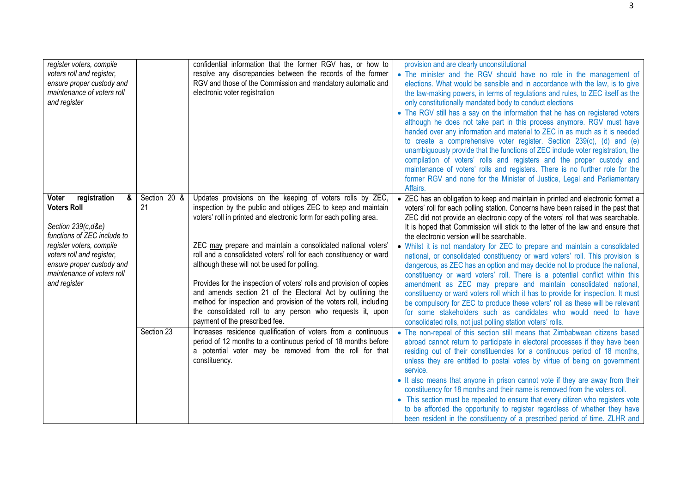| register voters, compile<br>voters roll and register,<br>ensure proper custody and<br>maintenance of voters roll<br>and register                                                                                                          |                    | confidential information that the former RGV has, or how to<br>resolve any discrepancies between the records of the former<br>RGV and those of the Commission and mandatory automatic and<br>electronic voter registration                                                                                                                                                                                                                                                                                                                                                                                                                                                                        | provision and are clearly unconstitutional<br>• The minister and the RGV should have no role in the management of<br>elections. What would be sensible and in accordance with the law, is to give<br>the law-making powers, in terms of regulations and rules, to ZEC itself as the<br>only constitutionally mandated body to conduct elections<br>• The RGV still has a say on the information that he has on registered voters<br>although he does not take part in this process anymore. RGV must have<br>handed over any information and material to ZEC in as much as it is needed<br>to create a comprehensive voter register. Section 239(c), (d) and (e)<br>unambiguously provide that the functions of ZEC include voter registration, the<br>compilation of voters' rolls and registers and the proper custody and<br>maintenance of voters' rolls and registers. There is no further role for the<br>former RGV and none for the Minister of Justice, Legal and Parliamentary<br>Affairs.                                                                                                |
|-------------------------------------------------------------------------------------------------------------------------------------------------------------------------------------------------------------------------------------------|--------------------|---------------------------------------------------------------------------------------------------------------------------------------------------------------------------------------------------------------------------------------------------------------------------------------------------------------------------------------------------------------------------------------------------------------------------------------------------------------------------------------------------------------------------------------------------------------------------------------------------------------------------------------------------------------------------------------------------|-----------------------------------------------------------------------------------------------------------------------------------------------------------------------------------------------------------------------------------------------------------------------------------------------------------------------------------------------------------------------------------------------------------------------------------------------------------------------------------------------------------------------------------------------------------------------------------------------------------------------------------------------------------------------------------------------------------------------------------------------------------------------------------------------------------------------------------------------------------------------------------------------------------------------------------------------------------------------------------------------------------------------------------------------------------------------------------------------------|
| registration<br>&<br>Voter<br><b>Voters Roll</b><br>Section 239(c,d&e)<br>functions of ZEC include to<br>register voters, compile<br>voters roll and register,<br>ensure proper custody and<br>maintenance of voters roll<br>and register | Section 20 &<br>21 | Updates provisions on the keeping of voters rolls by ZEC,<br>inspection by the public and obliges ZEC to keep and maintain<br>voters' roll in printed and electronic form for each polling area.<br>ZEC may prepare and maintain a consolidated national voters'<br>roll and a consolidated voters' roll for each constituency or ward<br>although these will not be used for polling.<br>Provides for the inspection of voters' rolls and provision of copies<br>and amends section 21 of the Electoral Act by outlining the<br>method for inspection and provision of the voters roll, including<br>the consolidated roll to any person who requests it, upon<br>payment of the prescribed fee. | • ZEC has an obligation to keep and maintain in printed and electronic format a<br>voters' roll for each polling station. Concerns have been raised in the past that<br>ZEC did not provide an electronic copy of the voters' roll that was searchable.<br>It is hoped that Commission will stick to the letter of the law and ensure that<br>the electronic version will be searchable.<br>• Whilst it is not mandatory for ZEC to prepare and maintain a consolidated<br>national, or consolidated constituency or ward voters' roll. This provision is<br>dangerous, as ZEC has an option and may decide not to produce the national,<br>constituency or ward voters' roll. There is a potential conflict within this<br>amendment as ZEC may prepare and maintain consolidated national,<br>constituency or ward voters roll which it has to provide for inspection. It must<br>be compulsory for ZEC to produce these voters' roll as these will be relevant<br>for some stakeholders such as candidates who would need to have<br>consolidated rolls, not just polling station voters' rolls. |
|                                                                                                                                                                                                                                           | Section 23         | Increases residence qualification of voters from a continuous<br>period of 12 months to a continuous period of 18 months before<br>a potential voter may be removed from the roll for that<br>constituency.                                                                                                                                                                                                                                                                                                                                                                                                                                                                                       | • The non-repeal of this section still means that Zimbabwean citizens based<br>abroad cannot return to participate in electoral processes if they have been<br>residing out of their constituencies for a continuous period of 18 months,<br>unless they are entitled to postal votes by virtue of being on government<br>service.<br>• It also means that anyone in prison cannot vote if they are away from their<br>constituency for 18 months and their name is removed from the voters roll.<br>• This section must be repealed to ensure that every citizen who registers vote<br>to be afforded the opportunity to register regardless of whether they have<br>been resident in the constituency of a prescribed period of time. ZLHR and                                                                                                                                                                                                                                                                                                                                                    |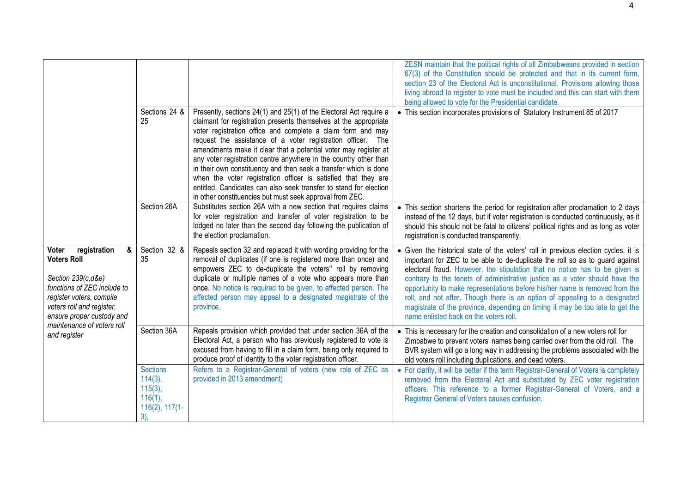|                                                                                                                                                                                                                                           |                                                                                         |                                                                                                                                                                                                                                                                                                                                                                                                                                                                                                                                                                                                                                                                                    | ZESN maintain that the political rights of all Zimbabweans provided in section<br>67(3) of the Constitution should be protected and that in its current form,<br>section 23 of the Electoral Act is unconstitutional. Provisions allowing those<br>living abroad to register to vote must be included and this can start with them<br>being allowed to vote for the Presidential candidate.                                                                                                                                                                                                                                |
|-------------------------------------------------------------------------------------------------------------------------------------------------------------------------------------------------------------------------------------------|-----------------------------------------------------------------------------------------|------------------------------------------------------------------------------------------------------------------------------------------------------------------------------------------------------------------------------------------------------------------------------------------------------------------------------------------------------------------------------------------------------------------------------------------------------------------------------------------------------------------------------------------------------------------------------------------------------------------------------------------------------------------------------------|----------------------------------------------------------------------------------------------------------------------------------------------------------------------------------------------------------------------------------------------------------------------------------------------------------------------------------------------------------------------------------------------------------------------------------------------------------------------------------------------------------------------------------------------------------------------------------------------------------------------------|
|                                                                                                                                                                                                                                           | Sections 24 &<br>25                                                                     | Presently, sections 24(1) and 25(1) of the Electoral Act require a<br>claimant for registration presents themselves at the appropriate<br>voter registration office and complete a claim form and may<br>request the assistance of a voter registration officer. The<br>amendments make it clear that a potential voter may register at<br>any voter registration centre anywhere in the country other than<br>in their own constituency and then seek a transfer which is done<br>when the voter registration officer is satisfied that they are<br>entitled. Candidates can also seek transfer to stand for election<br>in other constituencies but must seek approval from ZEC. | • This section incorporates provisions of Statutory Instrument 85 of 2017                                                                                                                                                                                                                                                                                                                                                                                                                                                                                                                                                  |
|                                                                                                                                                                                                                                           | Section 26A                                                                             | Substitutes section 26A with a new section that requires claims<br>for voter registration and transfer of voter registration to be<br>lodged no later than the second day following the publication of<br>the election proclamation.                                                                                                                                                                                                                                                                                                                                                                                                                                               | • This section shortens the period for registration after proclamation to 2 days<br>instead of the 12 days, but if voter registration is conducted continuously, as it<br>should this should not be fatal to citizens' political rights and as long as voter<br>registration is conducted transparently.                                                                                                                                                                                                                                                                                                                   |
| registration<br>&<br>Voter<br><b>Voters Roll</b><br>Section 239(c,d&e)<br>functions of ZEC include to<br>register voters, compile<br>voters roll and register,<br>ensure proper custody and<br>maintenance of voters roll<br>and register | Section 32 &<br>35                                                                      | Repeals section 32 and replaced it with wording providing for the<br>removal of duplicates (if one is registered more than once) and<br>empowers ZEC to de-duplicate the voters" roll by removing<br>duplicate or multiple names of a vote who appears more than<br>once. No notice is required to be given, to affected person. The<br>affected person may appeal to a designated magistrate of the<br>province.                                                                                                                                                                                                                                                                  | • Given the historical state of the voters' roll in previous election cycles, it is<br>important for ZEC to be able to de-duplicate the roll so as to guard against<br>electoral fraud. However, the stipulation that no notice has to be given is<br>contrary to the tenets of administrative justice as a voter should have the<br>opportunity to make representations before his/her name is removed from the<br>roll, and not after. Though there is an option of appealing to a designated<br>magistrate of the province, depending on timing it may be too late to get the<br>name enlisted back on the voters roll. |
|                                                                                                                                                                                                                                           | Section 36A                                                                             | Repeals provision which provided that under section 36A of the<br>Electoral Act, a person who has previously registered to vote is<br>excused from having to fill in a claim form, being only required to<br>produce proof of identity to the voter registration officer.                                                                                                                                                                                                                                                                                                                                                                                                          | • This is necessary for the creation and consolidation of a new voters roll for<br>Zimbabwe to prevent voters' names being carried over from the old roll. The<br>BVR system will go a long way in addressing the problems associated with the<br>old voters roll including duplications, and dead voters.                                                                                                                                                                                                                                                                                                                 |
|                                                                                                                                                                                                                                           | <b>Sections</b><br>$114(3)$ ,<br>$115(3)$ ,<br>$116(1)$ ,<br>$116(2)$ , $117(1-$<br>3), | Refers to a Registrar-General of voters (new role of ZEC as<br>provided in 2013 amendment)                                                                                                                                                                                                                                                                                                                                                                                                                                                                                                                                                                                         | • For clarity, it will be better if the term Registrar-General of Voters is completely<br>removed from the Electoral Act and substituted by ZEC voter registration<br>officers. This reference to a former Registrar-General of Voters, and a<br>Registrar General of Voters causes confusion.                                                                                                                                                                                                                                                                                                                             |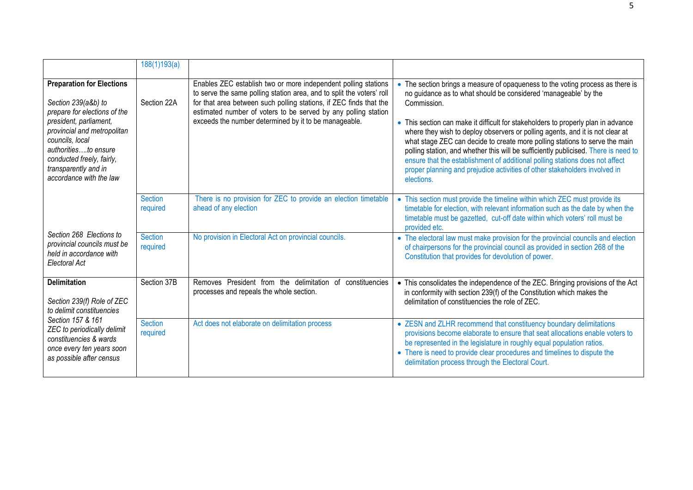|                                                                                                                                                                                                                                                                             | 188(1)193(a)               |                                                                                                                                                                                                                                                                                                                                          |                                                                                                                                                                                                                                                                                                                                                                                                                                                                                                                                                                                                                                                                                          |
|-----------------------------------------------------------------------------------------------------------------------------------------------------------------------------------------------------------------------------------------------------------------------------|----------------------------|------------------------------------------------------------------------------------------------------------------------------------------------------------------------------------------------------------------------------------------------------------------------------------------------------------------------------------------|------------------------------------------------------------------------------------------------------------------------------------------------------------------------------------------------------------------------------------------------------------------------------------------------------------------------------------------------------------------------------------------------------------------------------------------------------------------------------------------------------------------------------------------------------------------------------------------------------------------------------------------------------------------------------------------|
| <b>Preparation for Elections</b><br>Section 239(a&b) to<br>prepare for elections of the<br>president, parliament,<br>provincial and metropolitan<br>councils, local<br>authoritiesto ensure<br>conducted freely, fairly,<br>transparently and in<br>accordance with the law | Section 22A                | Enables ZEC establish two or more independent polling stations<br>to serve the same polling station area, and to split the voters' roll<br>for that area between such polling stations, if ZEC finds that the<br>estimated number of voters to be served by any polling station<br>exceeds the number determined by it to be manageable. | • The section brings a measure of opaqueness to the voting process as there is<br>no guidance as to what should be considered 'manageable' by the<br>Commission.<br>• This section can make it difficult for stakeholders to properly plan in advance<br>where they wish to deploy observers or polling agents, and it is not clear at<br>what stage ZEC can decide to create more polling stations to serve the main<br>polling station, and whether this will be sufficiently publicised. There is need to<br>ensure that the establishment of additional polling stations does not affect<br>proper planning and prejudice activities of other stakeholders involved in<br>elections. |
|                                                                                                                                                                                                                                                                             | <b>Section</b><br>required | There is no provision for ZEC to provide an election timetable<br>ahead of any election                                                                                                                                                                                                                                                  | • This section must provide the timeline within which ZEC must provide its<br>timetable for election, with relevant information such as the date by when the<br>timetable must be gazetted, cut-off date within which voters' roll must be<br>provided etc.                                                                                                                                                                                                                                                                                                                                                                                                                              |
| Section 268 Elections to<br>provincial councils must be<br>held in accordance with<br>Electoral Act                                                                                                                                                                         | <b>Section</b><br>required | No provision in Electoral Act on provincial councils.                                                                                                                                                                                                                                                                                    | • The electoral law must make provision for the provincial councils and election<br>of chairpersons for the provincial council as provided in section 268 of the<br>Constitution that provides for devolution of power.                                                                                                                                                                                                                                                                                                                                                                                                                                                                  |
| <b>Delimitation</b><br>Section 239(f) Role of ZEC<br>to delimit constituencies                                                                                                                                                                                              | Section 37B                | Removes President from the delimitation of constituencies<br>processes and repeals the whole section.                                                                                                                                                                                                                                    | • This consolidates the independence of the ZEC. Bringing provisions of the Act<br>in conformity with section 239(f) of the Constitution which makes the<br>delimitation of constituencies the role of ZEC.                                                                                                                                                                                                                                                                                                                                                                                                                                                                              |
| Section 157 & 161<br>ZEC to periodically delimit<br>constituencies & wards<br>once every ten years soon<br>as possible after census                                                                                                                                         | <b>Section</b><br>required | Act does not elaborate on delimitation process                                                                                                                                                                                                                                                                                           | • ZESN and ZLHR recommend that constituency boundary delimitations<br>provisions become elaborate to ensure that seat allocations enable voters to<br>be represented in the legislature in roughly equal population ratios.<br>• There is need to provide clear procedures and timelines to dispute the<br>delimitation process through the Electoral Court.                                                                                                                                                                                                                                                                                                                             |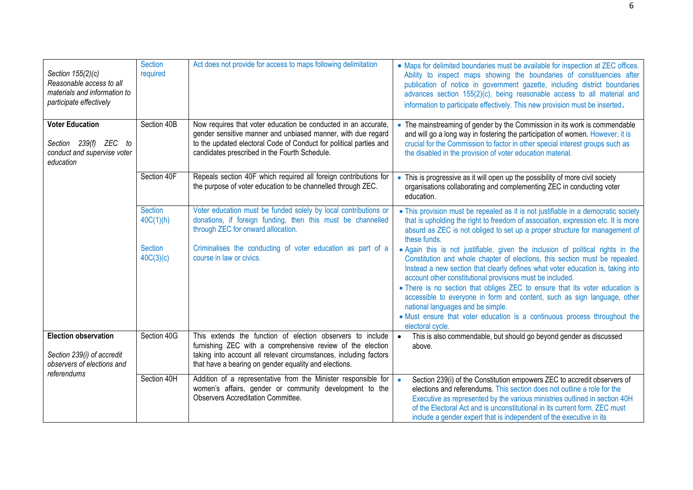| Section 155(2)(c)<br>Reasonable access to all<br>materials and information to<br>participate effectively | Section<br>required         | Act does not provide for access to maps following delimitation                                                                                                                                                                                         | • Maps for delimited boundaries must be available for inspection at ZEC offices.<br>Ability to inspect maps showing the boundaries of constituencies after<br>publication of notice in government gazette, including district boundaries<br>advances section 155(2)(c), being reasonable access to all material and<br>information to participate effectively. This new provision must be inserted.                                                                                                                                                                                                              |
|----------------------------------------------------------------------------------------------------------|-----------------------------|--------------------------------------------------------------------------------------------------------------------------------------------------------------------------------------------------------------------------------------------------------|------------------------------------------------------------------------------------------------------------------------------------------------------------------------------------------------------------------------------------------------------------------------------------------------------------------------------------------------------------------------------------------------------------------------------------------------------------------------------------------------------------------------------------------------------------------------------------------------------------------|
| <b>Voter Education</b><br>Section 239(f) ZEC to<br>conduct and supervise voter<br>education              | Section 40B                 | Now requires that voter education be conducted in an accurate,<br>gender sensitive manner and unbiased manner, with due regard<br>to the updated electoral Code of Conduct for political parties and<br>candidates prescribed in the Fourth Schedule.  | • The mainstreaming of gender by the Commission in its work is commendable<br>and will go a long way in fostering the participation of women. However, it is<br>crucial for the Commission to factor in other special interest groups such as<br>the disabled in the provision of voter education material.                                                                                                                                                                                                                                                                                                      |
|                                                                                                          | Section 40F                 | Repeals section 40F which required all foreign contributions for<br>the purpose of voter education to be channelled through ZEC.                                                                                                                       | • This is progressive as it will open up the possibility of more civil society<br>organisations collaborating and complementing ZEC in conducting voter<br>education.                                                                                                                                                                                                                                                                                                                                                                                                                                            |
|                                                                                                          | <b>Section</b><br>40C(1)(h) | Voter education must be funded solely by local contributions or<br>donations, if foreign funding, then this must be channelled<br>through ZEC for onward allocation.                                                                                   | • This provision must be repealed as it is not justifiable in a democratic society<br>that is upholding the right to freedom of association, expression etc. It is more<br>absurd as ZEC is not obliged to set up a proper structure for management of<br>these funds.                                                                                                                                                                                                                                                                                                                                           |
|                                                                                                          | <b>Section</b><br>40C(3)(c) | Criminalises the conducting of voter education as part of a<br>course in law or civics.                                                                                                                                                                | • Again this is not justifiable, given the inclusion of political rights in the<br>Constitution and whole chapter of elections, this section must be repealed.<br>Instead a new section that clearly defines what voter education is, taking into<br>account other constitutional provisions must be included.<br>• There is no section that obliges ZEC to ensure that its voter education is<br>accessible to everyone in form and content, such as sign language, other<br>national languages and be simple.<br>• Must ensure that voter education is a continuous process throughout the<br>electoral cycle. |
| <b>Election observation</b><br>Section 239(i) of accredit<br>observers of elections and<br>referendums   | Section 40G                 | This extends the function of election observers to include<br>furnishing ZEC with a comprehensive review of the election<br>taking into account all relevant circumstances, including factors<br>that have a bearing on gender equality and elections. | This is also commendable, but should go beyond gender as discussed<br>$\bullet$<br>above.                                                                                                                                                                                                                                                                                                                                                                                                                                                                                                                        |
|                                                                                                          | Section 40H                 | Addition of a representative from the Minister responsible for<br>women's affairs, gender or community development to the<br><b>Observers Accreditation Committee.</b>                                                                                 | Section 239(i) of the Constitution empowers ZEC to accredit observers of<br>$\bullet$<br>elections and referendums. This section does not outline a role for the<br>Executive as represented by the various ministries outlined in section 40H<br>of the Electoral Act and is unconstitutional in its current form. ZEC must<br>include a gender expert that is independent of the executive in its                                                                                                                                                                                                              |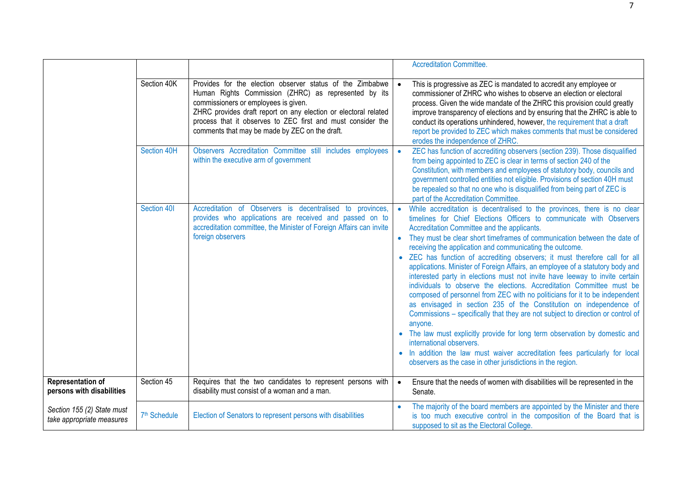|                                                         |                          |                                                                                                                                                                                                                                                                                                                                               |           | <b>Accreditation Committee.</b>                                                                                                                                                                                                                                                                                                                                                                                                                                                                                                                                                                                                                                                                                                                                                                                                                                                                                                                                                                                                                                                                                                                                              |
|---------------------------------------------------------|--------------------------|-----------------------------------------------------------------------------------------------------------------------------------------------------------------------------------------------------------------------------------------------------------------------------------------------------------------------------------------------|-----------|------------------------------------------------------------------------------------------------------------------------------------------------------------------------------------------------------------------------------------------------------------------------------------------------------------------------------------------------------------------------------------------------------------------------------------------------------------------------------------------------------------------------------------------------------------------------------------------------------------------------------------------------------------------------------------------------------------------------------------------------------------------------------------------------------------------------------------------------------------------------------------------------------------------------------------------------------------------------------------------------------------------------------------------------------------------------------------------------------------------------------------------------------------------------------|
|                                                         | Section 40K              | Provides for the election observer status of the Zimbabwe<br>Human Rights Commission (ZHRC) as represented by its<br>commissioners or employees is given.<br>ZHRC provides draft report on any election or electoral related<br>process that it observes to ZEC first and must consider the<br>comments that may be made by ZEC on the draft. | $\bullet$ | This is progressive as ZEC is mandated to accredit any employee or<br>commissioner of ZHRC who wishes to observe an election or electoral<br>process. Given the wide mandate of the ZHRC this provision could greatly<br>improve transparency of elections and by ensuring that the ZHRC is able to<br>conduct its operations unhindered, however, the requirement that a draft<br>report be provided to ZEC which makes comments that must be considered<br>erodes the independence of ZHRC.                                                                                                                                                                                                                                                                                                                                                                                                                                                                                                                                                                                                                                                                                |
|                                                         | Section 40H              | Observers Accreditation Committee still includes employees<br>within the executive arm of government                                                                                                                                                                                                                                          | $\bullet$ | ZEC has function of accrediting observers (section 239). Those disqualified<br>from being appointed to ZEC is clear in terms of section 240 of the<br>Constitution, with members and employees of statutory body, councils and<br>government controlled entities not eligible. Provisions of section 40H must<br>be repealed so that no one who is disqualified from being part of ZEC is<br>part of the Accreditation Committee.                                                                                                                                                                                                                                                                                                                                                                                                                                                                                                                                                                                                                                                                                                                                            |
|                                                         | Section 401              | Accreditation of Observers is decentralised to provinces,<br>provides who applications are received and passed on to<br>accreditation committee, the Minister of Foreign Affairs can invite<br>foreign observers                                                                                                                              | $\bullet$ | While accreditation is decentralised to the provinces, there is no clear<br>timelines for Chief Elections Officers to communicate with Observers<br>Accreditation Committee and the applicants.<br>They must be clear short timeframes of communication between the date of<br>receiving the application and communicating the outcome.<br>• ZEC has function of accrediting observers; it must therefore call for all<br>applications. Minister of Foreign Affairs, an employee of a statutory body and<br>interested party in elections must not invite have leeway to invite certain<br>individuals to observe the elections. Accreditation Committee must be<br>composed of personnel from ZEC with no politicians for it to be independent<br>as envisaged in section 235 of the Constitution on independence of<br>Commissions – specifically that they are not subject to direction or control of<br>anyone.<br>• The law must explicitly provide for long term observation by domestic and<br>international observers.<br>. In addition the law must waiver accreditation fees particularly for local<br>observers as the case in other jurisdictions in the region. |
| Representation of<br>persons with disabilities          | Section 45               | Requires that the two candidates to represent persons with<br>disability must consist of a woman and a man.                                                                                                                                                                                                                                   | $\bullet$ | Ensure that the needs of women with disabilities will be represented in the<br>Senate.                                                                                                                                                                                                                                                                                                                                                                                                                                                                                                                                                                                                                                                                                                                                                                                                                                                                                                                                                                                                                                                                                       |
| Section 155 (2) State must<br>take appropriate measures | 7 <sup>th</sup> Schedule | Election of Senators to represent persons with disabilities                                                                                                                                                                                                                                                                                   |           | The majority of the board members are appointed by the Minister and there<br>is too much executive control in the composition of the Board that is<br>supposed to sit as the Electoral College.                                                                                                                                                                                                                                                                                                                                                                                                                                                                                                                                                                                                                                                                                                                                                                                                                                                                                                                                                                              |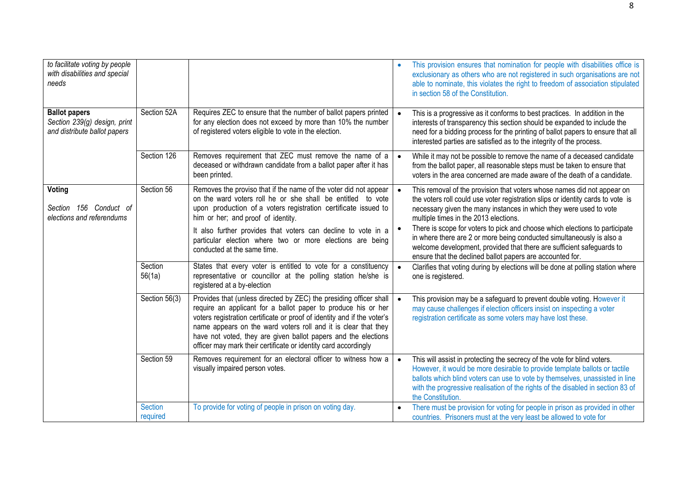| to facilitate voting by people<br>with disabilities and special<br>needs             |                            |                                                                                                                                                                                                                                                                                                                                                                                                                       | $\bullet$              | This provision ensures that nomination for people with disabilities office is<br>exclusionary as others who are not registered in such organisations are not<br>able to nominate, this violates the right to freedom of association stipulated<br>in section 58 of the Constitution.                                                                                                                                                                                                                                                                                    |
|--------------------------------------------------------------------------------------|----------------------------|-----------------------------------------------------------------------------------------------------------------------------------------------------------------------------------------------------------------------------------------------------------------------------------------------------------------------------------------------------------------------------------------------------------------------|------------------------|-------------------------------------------------------------------------------------------------------------------------------------------------------------------------------------------------------------------------------------------------------------------------------------------------------------------------------------------------------------------------------------------------------------------------------------------------------------------------------------------------------------------------------------------------------------------------|
| <b>Ballot papers</b><br>Section 239(g) design, print<br>and distribute ballot papers | Section 52A                | Requires ZEC to ensure that the number of ballot papers printed<br>for any election does not exceed by more than 10% the number<br>of registered voters eligible to vote in the election.                                                                                                                                                                                                                             | $\bullet$              | This is a progressive as it conforms to best practices. In addition in the<br>interests of transparency this section should be expanded to include the<br>need for a bidding process for the printing of ballot papers to ensure that all<br>interested parties are satisfied as to the integrity of the process.                                                                                                                                                                                                                                                       |
|                                                                                      | Section 126                | Removes requirement that ZEC must remove the name of a<br>deceased or withdrawn candidate from a ballot paper after it has<br>been printed.                                                                                                                                                                                                                                                                           | $\bullet$              | While it may not be possible to remove the name of a deceased candidate<br>from the ballot paper, all reasonable steps must be taken to ensure that<br>voters in the area concerned are made aware of the death of a candidate.                                                                                                                                                                                                                                                                                                                                         |
| Voting<br>Section 156 Conduct of<br>elections and referendums                        | Section 56                 | Removes the proviso that if the name of the voter did not appear<br>on the ward voters roll he or she shall be entitled to vote<br>upon production of a voters registration certificate issued to<br>him or her; and proof of identity.<br>It also further provides that voters can decline to vote in a<br>particular election where two or more elections are being<br>conducted at the same time.                  | $\bullet$<br>$\bullet$ | This removal of the provision that voters whose names did not appear on<br>the voters roll could use voter registration slips or identity cards to vote is<br>necessary given the many instances in which they were used to vote<br>multiple times in the 2013 elections.<br>There is scope for voters to pick and choose which elections to participate<br>in where there are 2 or more being conducted simultaneously is also a<br>welcome development, provided that there are sufficient safeguards to<br>ensure that the declined ballot papers are accounted for. |
|                                                                                      | Section<br>56(1a)          | States that every voter is entitled to vote for a constituency<br>representative or councillor at the polling station he/she is<br>registered at a by-election                                                                                                                                                                                                                                                        | $\bullet$              | Clarifies that voting during by elections will be done at polling station where<br>one is registered.                                                                                                                                                                                                                                                                                                                                                                                                                                                                   |
|                                                                                      | Section 56(3)              | Provides that (unless directed by ZEC) the presiding officer shall<br>require an applicant for a ballot paper to produce his or her<br>voters registration certificate or proof of identity and if the voter's<br>name appears on the ward voters roll and it is clear that they<br>have not voted, they are given ballot papers and the elections<br>officer may mark their certificate or identity card accordingly | $\bullet$              | This provision may be a safeguard to prevent double voting. However it<br>may cause challenges if election officers insist on inspecting a voter<br>registration certificate as some voters may have lost these.                                                                                                                                                                                                                                                                                                                                                        |
|                                                                                      | Section 59                 | Removes requirement for an electoral officer to witness how a<br>visually impaired person votes.                                                                                                                                                                                                                                                                                                                      | $\bullet$              | This will assist in protecting the secrecy of the vote for blind voters.<br>However, it would be more desirable to provide template ballots or tactile<br>ballots which blind voters can use to vote by themselves, unassisted in line<br>with the progressive realisation of the rights of the disabled in section 83 of<br>the Constitution.                                                                                                                                                                                                                          |
|                                                                                      | <b>Section</b><br>required | To provide for voting of people in prison on voting day.                                                                                                                                                                                                                                                                                                                                                              |                        | There must be provision for voting for people in prison as provided in other<br>countries. Prisoners must at the very least be allowed to vote for                                                                                                                                                                                                                                                                                                                                                                                                                      |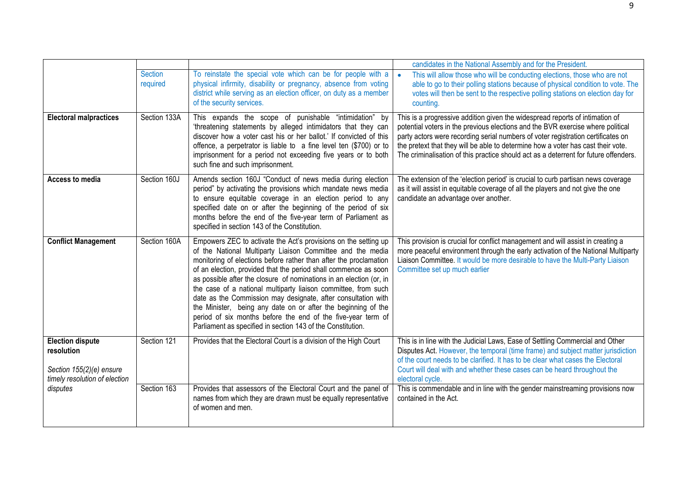|                                                                                                    |                            |                                                                                                                                                                                                                                                                                                                                                                                                                                                                                                                                                                                                                                                                                 | candidates in the National Assembly and for the President.                                                                                                                                                                                                                                                                                                                                                                      |
|----------------------------------------------------------------------------------------------------|----------------------------|---------------------------------------------------------------------------------------------------------------------------------------------------------------------------------------------------------------------------------------------------------------------------------------------------------------------------------------------------------------------------------------------------------------------------------------------------------------------------------------------------------------------------------------------------------------------------------------------------------------------------------------------------------------------------------|---------------------------------------------------------------------------------------------------------------------------------------------------------------------------------------------------------------------------------------------------------------------------------------------------------------------------------------------------------------------------------------------------------------------------------|
|                                                                                                    | <b>Section</b><br>required | To reinstate the special vote which can be for people with a<br>physical infirmity, disability or pregnancy, absence from voting<br>district while serving as an election officer, on duty as a member<br>of the security services.                                                                                                                                                                                                                                                                                                                                                                                                                                             | This will allow those who will be conducting elections, those who are not<br>$\bullet$<br>able to go to their polling stations because of physical condition to vote. The<br>votes will then be sent to the respective polling stations on election day for<br>counting.                                                                                                                                                        |
| <b>Electoral malpractices</b>                                                                      | Section 133A               | This expands the scope of punishable "intimidation" by<br>'threatening statements by alleged intimidators that they can<br>discover how a voter cast his or her ballot.' If convicted of this<br>offence, a perpetrator is liable to a fine level ten (\$700) or to<br>imprisonment for a period not exceeding five years or to both<br>such fine and such imprisonment.                                                                                                                                                                                                                                                                                                        | This is a progressive addition given the widespread reports of intimation of<br>potential voters in the previous elections and the BVR exercise where political<br>party actors were recording serial numbers of voter registration certificates on<br>the pretext that they will be able to determine how a voter has cast their vote.<br>The criminalisation of this practice should act as a deterrent for future offenders. |
| Access to media                                                                                    | Section 160J               | Amends section 160J "Conduct of news media during election<br>period" by activating the provisions which mandate news media<br>to ensure equitable coverage in an election period to any<br>specified date on or after the beginning of the period of six<br>months before the end of the five-year term of Parliament as<br>specified in section 143 of the Constitution.                                                                                                                                                                                                                                                                                                      | The extension of the 'election period' is crucial to curb partisan news coverage<br>as it will assist in equitable coverage of all the players and not give the one<br>candidate an advantage over another.                                                                                                                                                                                                                     |
| <b>Conflict Management</b>                                                                         | Section 160A               | Empowers ZEC to activate the Act's provisions on the setting up<br>of the National Multiparty Liaison Committee and the media<br>monitoring of elections before rather than after the proclamation<br>of an election, provided that the period shall commence as soon<br>as possible after the closure of nominations in an election (or, in<br>the case of a national multiparty liaison committee, from such<br>date as the Commission may designate, after consultation with<br>the Minister, being any date on or after the beginning of the<br>period of six months before the end of the five-year term of<br>Parliament as specified in section 143 of the Constitution. | This provision is crucial for conflict management and will assist in creating a<br>more peaceful environment through the early activation of the National Multiparty<br>Liaison Committee. It would be more desirable to have the Multi-Party Liaison<br>Committee set up much earlier                                                                                                                                          |
| <b>Election dispute</b><br>resolution<br>Section 155(2)(e) ensure<br>timely resolution of election | Section 121                | Provides that the Electoral Court is a division of the High Court                                                                                                                                                                                                                                                                                                                                                                                                                                                                                                                                                                                                               | This is in line with the Judicial Laws, Ease of Settling Commercial and Other<br>Disputes Act. However, the temporal (time frame) and subject matter jurisdiction<br>of the court needs to be clarified. It has to be clear what cases the Electoral<br>Court will deal with and whether these cases can be heard throughout the<br>electoral cycle.                                                                            |
| disputes                                                                                           | Section 163                | Provides that assessors of the Electoral Court and the panel of<br>names from which they are drawn must be equally representative<br>of women and men.                                                                                                                                                                                                                                                                                                                                                                                                                                                                                                                          | This is commendable and in line with the gender mainstreaming provisions now<br>contained in the Act.                                                                                                                                                                                                                                                                                                                           |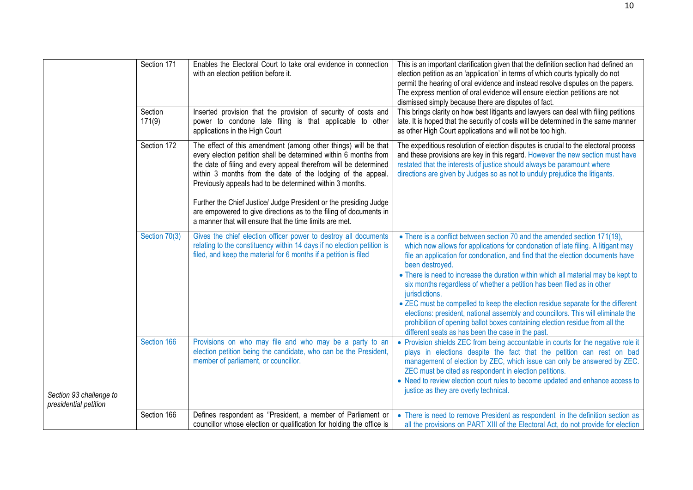|                                                  | Section 171<br>Section<br>171(9) | Enables the Electoral Court to take oral evidence in connection<br>with an election petition before it.<br>Inserted provision that the provision of security of costs and<br>power to condone late filing is that applicable to other                                                                                             | This is an important clarification given that the definition section had defined an<br>election petition as an 'application' in terms of which courts typically do not<br>permit the hearing of oral evidence and instead resolve disputes on the papers.<br>The express mention of oral evidence will ensure election petitions are not<br>dismissed simply because there are disputes of fact.<br>This brings clarity on how best litigants and lawyers can deal with filing petitions<br>late. It is hoped that the security of costs will be determined in the same manner |
|--------------------------------------------------|----------------------------------|-----------------------------------------------------------------------------------------------------------------------------------------------------------------------------------------------------------------------------------------------------------------------------------------------------------------------------------|--------------------------------------------------------------------------------------------------------------------------------------------------------------------------------------------------------------------------------------------------------------------------------------------------------------------------------------------------------------------------------------------------------------------------------------------------------------------------------------------------------------------------------------------------------------------------------|
|                                                  |                                  | applications in the High Court                                                                                                                                                                                                                                                                                                    | as other High Court applications and will not be too high.                                                                                                                                                                                                                                                                                                                                                                                                                                                                                                                     |
|                                                  | Section 172                      | The effect of this amendment (among other things) will be that<br>every election petition shall be determined within 6 months from<br>the date of filing and every appeal therefrom will be determined<br>within 3 months from the date of the lodging of the appeal.<br>Previously appeals had to be determined within 3 months. | The expeditious resolution of election disputes is crucial to the electoral process<br>and these provisions are key in this regard. However the new section must have<br>restated that the interests of justice should always be paramount where<br>directions are given by Judges so as not to unduly prejudice the litigants.                                                                                                                                                                                                                                                |
|                                                  |                                  | Further the Chief Justice/ Judge President or the presiding Judge<br>are empowered to give directions as to the filing of documents in<br>a manner that will ensure that the time limits are met.                                                                                                                                 |                                                                                                                                                                                                                                                                                                                                                                                                                                                                                                                                                                                |
|                                                  | Section 70(3)                    | Gives the chief election officer power to destroy all documents<br>relating to the constituency within 14 days if no election petition is<br>filed, and keep the material for 6 months if a petition is filed                                                                                                                     | • There is a conflict between section 70 and the amended section 171(19),<br>which now allows for applications for condonation of late filing. A litigant may<br>file an application for condonation, and find that the election documents have<br>been destroyed.<br>• There is need to increase the duration within which all material may be kept to                                                                                                                                                                                                                        |
|                                                  |                                  |                                                                                                                                                                                                                                                                                                                                   | six months regardless of whether a petition has been filed as in other<br>jurisdictions.                                                                                                                                                                                                                                                                                                                                                                                                                                                                                       |
|                                                  |                                  |                                                                                                                                                                                                                                                                                                                                   | • ZEC must be compelled to keep the election residue separate for the different<br>elections: president, national assembly and councillors. This will eliminate the<br>prohibition of opening ballot boxes containing election residue from all the<br>different seats as has been the case in the past.                                                                                                                                                                                                                                                                       |
|                                                  | Section 166                      | Provisions on who may file and who may be a party to an<br>election petition being the candidate, who can be the President,<br>member of parliament, or councillor.                                                                                                                                                               | • Provision shields ZEC from being accountable in courts for the negative role it<br>plays in elections despite the fact that the petition can rest on bad<br>management of election by ZEC, which issue can only be answered by ZEC.<br>ZEC must be cited as respondent in election petitions.<br>• Need to review election court rules to become updated and enhance access to                                                                                                                                                                                               |
| Section 93 challenge to<br>presidential petition |                                  |                                                                                                                                                                                                                                                                                                                                   | justice as they are overly technical.                                                                                                                                                                                                                                                                                                                                                                                                                                                                                                                                          |
|                                                  | Section 166                      | Defines respondent as "President, a member of Parliament or                                                                                                                                                                                                                                                                       | • There is need to remove President as respondent in the definition section as                                                                                                                                                                                                                                                                                                                                                                                                                                                                                                 |
|                                                  |                                  | councillor whose election or qualification for holding the office is                                                                                                                                                                                                                                                              | all the provisions on PART XIII of the Electoral Act, do not provide for election                                                                                                                                                                                                                                                                                                                                                                                                                                                                                              |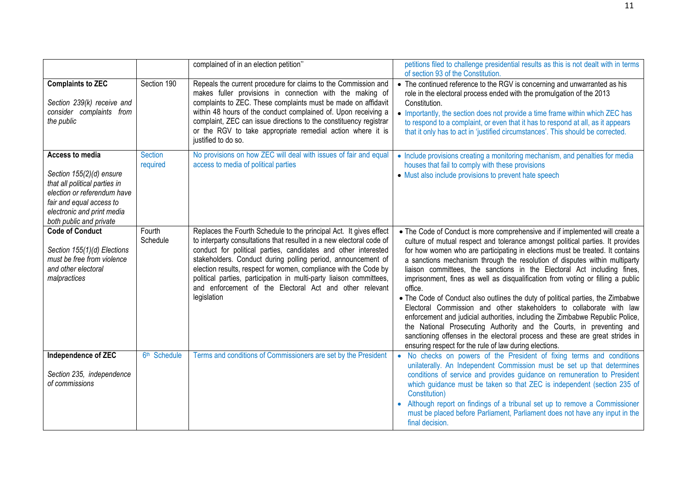|                                                                                                                                                                                                  |                            | complained of in an election petition"                                                                                                                                                                                                                                                                                                                                                                                                                                                            | petitions filed to challenge presidential results as this is not dealt with in terms<br>of section 93 of the Constitution.                                                                                                                                                                                                                                                                                                                                                                                                                                                                                                                                                                                                                                                                                                                                                                                                                                          |
|--------------------------------------------------------------------------------------------------------------------------------------------------------------------------------------------------|----------------------------|---------------------------------------------------------------------------------------------------------------------------------------------------------------------------------------------------------------------------------------------------------------------------------------------------------------------------------------------------------------------------------------------------------------------------------------------------------------------------------------------------|---------------------------------------------------------------------------------------------------------------------------------------------------------------------------------------------------------------------------------------------------------------------------------------------------------------------------------------------------------------------------------------------------------------------------------------------------------------------------------------------------------------------------------------------------------------------------------------------------------------------------------------------------------------------------------------------------------------------------------------------------------------------------------------------------------------------------------------------------------------------------------------------------------------------------------------------------------------------|
| <b>Complaints to ZEC</b><br>Section 239(k) receive and<br>consider complaints from<br>the public                                                                                                 | Section 190                | Repeals the current procedure for claims to the Commission and<br>makes fuller provisions in connection with the making of<br>complaints to ZEC. These complaints must be made on affidavit<br>within 48 hours of the conduct complained of. Upon receiving a<br>complaint, ZEC can issue directions to the constituency registrar<br>or the RGV to take appropriate remedial action where it is<br>justified to do so.                                                                           | • The continued reference to the RGV is concerning and unwarranted as his<br>role in the electoral process ended with the promulgation of the 2013<br>Constitution.<br>• Importantly, the section does not provide a time frame within which ZEC has<br>to respond to a complaint, or even that it has to respond at all, as it appears<br>that it only has to act in 'justified circumstances'. This should be corrected.                                                                                                                                                                                                                                                                                                                                                                                                                                                                                                                                          |
| Access to media<br>Section 155(2)(d) ensure<br>that all political parties in<br>election or referendum have<br>fair and equal access to<br>electronic and print media<br>both public and private | <b>Section</b><br>required | No provisions on how ZEC will deal with issues of fair and equal<br>access to media of political parties                                                                                                                                                                                                                                                                                                                                                                                          | • Include provisions creating a monitoring mechanism, and penalties for media<br>houses that fail to comply with these provisions<br>• Must also include provisions to prevent hate speech                                                                                                                                                                                                                                                                                                                                                                                                                                                                                                                                                                                                                                                                                                                                                                          |
| <b>Code of Conduct</b><br>Section 155(1)(d) Elections<br>must be free from violence<br>and other electoral<br>malpractices                                                                       | Fourth<br>Schedule         | Replaces the Fourth Schedule to the principal Act. It gives effect<br>to interparty consultations that resulted in a new electoral code of<br>conduct for political parties, candidates and other interested<br>stakeholders. Conduct during polling period, announcement of<br>election results, respect for women, compliance with the Code by<br>political parties, participation in multi-party liaison committees,<br>and enforcement of the Electoral Act and other relevant<br>legislation | • The Code of Conduct is more comprehensive and if implemented will create a<br>culture of mutual respect and tolerance amongst political parties. It provides<br>for how women who are participating in elections must be treated. It contains<br>a sanctions mechanism through the resolution of disputes within multiparty<br>liaison committees, the sanctions in the Electoral Act including fines,<br>imprisonment, fines as well as disqualification from voting or filling a public<br>office.<br>• The Code of Conduct also outlines the duty of political parties, the Zimbabwe<br>Electoral Commission and other stakeholders to collaborate with law<br>enforcement and judicial authorities, including the Zimbabwe Republic Police,<br>the National Prosecuting Authority and the Courts, in preventing and<br>sanctioning offenses in the electoral process and these are great strides in<br>ensuring respect for the rule of law during elections. |
| <b>Independence of ZEC</b><br>Section 235, independence<br>of commissions                                                                                                                        | 6 <sup>th</sup> Schedule   | Terms and conditions of Commissioners are set by the President                                                                                                                                                                                                                                                                                                                                                                                                                                    | • No checks on powers of the President of fixing terms and conditions<br>unilaterally. An Independent Commission must be set up that determines<br>conditions of service and provides guidance on remuneration to President<br>which guidance must be taken so that ZEC is independent (section 235 of<br>Constitution)<br>• Although report on findings of a tribunal set up to remove a Commissioner<br>must be placed before Parliament, Parliament does not have any input in the<br>final decision.                                                                                                                                                                                                                                                                                                                                                                                                                                                            |